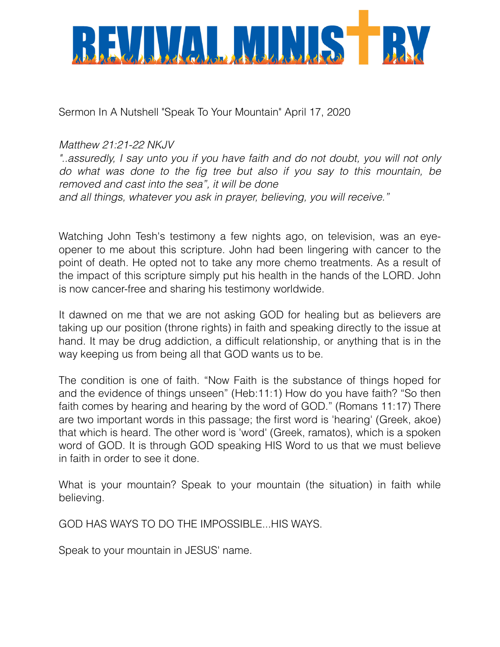

Sermon In A Nutshell "Speak To Your Mountain" April 17, 2020

## *Matthew 21:21-22 NKJV*

*"..assuredly, I say unto you if you have faith and do not doubt, you will not only do what was done to the fig tree but also if you say to this mountain, be removed and cast into the sea", it will be done and all things, whatever you ask in prayer, believing, you will receive."*

Watching John Tesh's testimony a few nights ago, on television, was an eyeopener to me about this scripture. John had been lingering with cancer to the point of death. He opted not to take any more chemo treatments. As a result of the impact of this scripture simply put his health in the hands of the LORD. John is now cancer-free and sharing his testimony worldwide.

It dawned on me that we are not asking GOD for healing but as believers are taking up our position (throne rights) in faith and speaking directly to the issue at hand. It may be drug addiction, a difficult relationship, or anything that is in the way keeping us from being all that GOD wants us to be.

The condition is one of faith. "Now Faith is the substance of things hoped for and the evidence of things unseen" (Heb:11:1) How do you have faith? "So then faith comes by hearing and hearing by the word of GOD." (Romans 11:17) There are two important words in this passage; the first word is 'hearing' (Greek, akoe) that which is heard. The other word is 'word' (Greek, ramatos), which is a spoken word of GOD. It is through GOD speaking HIS Word to us that we must believe in faith in order to see it done.

What is your mountain? Speak to your mountain (the situation) in faith while believing.

GOD HAS WAYS TO DO THE IMPOSSIBLE...HIS WAYS.

Speak to your mountain in JESUS' name.